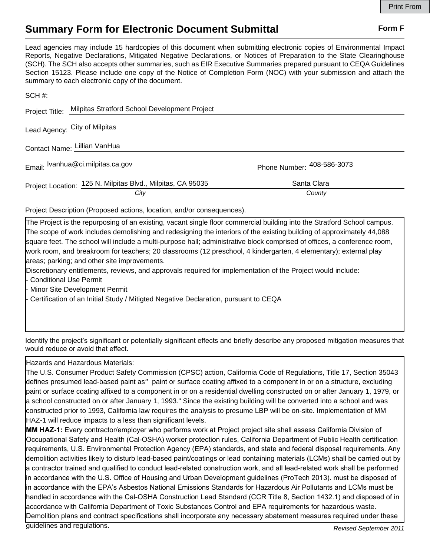## **Summary Form for Electronic Document Submittal Form F Form F**

Lead agencies may include 15 hardcopies of this document when submitting electronic copies of Environmental Impact Reports, Negative Declarations, Mitigated Negative Declarations, or Notices of Preparation to the State Clearinghouse (SCH). The SCH also accepts other summaries, such as EIR Executive Summaries prepared pursuant to CEQA Guidelines Section 15123. Please include one copy of the Notice of Completion Form (NOC) with your submission and attach the summary to each electronic copy of the document.

| Project Title: Milpitas Stratford School Development Project |                            |
|--------------------------------------------------------------|----------------------------|
| Lead Agency: City of Milpitas                                |                            |
| Contact Name: Lillian VanHua                                 |                            |
| Email: lvanhua@ci.milpitas.ca.gov                            | Phone Number: 408-586-3073 |
| Project Location: 125 N. Milpitas Blvd., Milpitas, CA 95035  | Santa Clara                |
| City                                                         | County                     |

Project Description (Proposed actions, location, and/or consequences).

The Project is the repurposing of an existing, vacant single floor commercial building into the Stratford School campus. The scope of work includes demolishing and redesigning the interiors of the existing building of approximately 44,088 square feet. The school will include a multi-purpose hall; administrative block comprised of offices, a conference room, work room, and breakroom for teachers; 20 classrooms (12 preschool, 4 kindergarten, 4 elementary); external play areas; parking; and other site improvements.

Discretionary entitlements, reviews, and approvals required for implementation of the Project would include:

- Conditional Use Permit

Minor Site Development Permit

- Certification of an Initial Study / Mitigted Negative Declaration, pursuant to CEQA

Identify the project's significant or potentially significant effects and briefly describe any proposed mitigation measures that would reduce or avoid that effect.

## Hazards and Hazardous Materials:

The U.S. Consumer Product Safety Commission (CPSC) action, California Code of Regulations, Title 17, Section 35043 defines presumed lead-based paint as" paint or surface coating affixed to a component in or on a structure, excluding paint or surface coating affixed to a component in or on a residential dwelling constructed on or after January 1, 1979, or a school constructed on or after January 1, 1993." Since the existing building will be converted into a school and was constructed prior to 1993, California law requires the analysis to presume LBP will be on-site. Implementation of MM HAZ-1 will reduce impacts to a less than significant levels.

**MM HAZ-1:** Every contractor/employer who performs work at Project project site shall assess California Division of Occupational Safety and Health (Cal-OSHA) worker protection rules, California Department of Public Health certification requirements, U.S. Environmental Protection Agency (EPA) standards, and state and federal disposal requirements. Any demolition activities likely to disturb lead-based paint/coatings or lead containing materials (LCMs) shall be carried out by a contractor trained and qualified to conduct lead-related construction work, and all lead-related work shall be performed in accordance with the U.S. Office of Housing and Urban Development guidelines (ProTech 2013). must be disposed of in accordance with the EPA's Asbestos National Emissions Standards for Hazardous Air Pollutants and LCMs must be handled in accordance with the Cal-OSHA Construction Lead Standard (CCR Title 8, Section 1432.1) and disposed of in accordance with California Department of Toxic Substances Control and EPA requirements for hazardous waste. Demolition plans and contract specifications shall incorporate any necessary abatement measures required under these

guidelines and regulations.